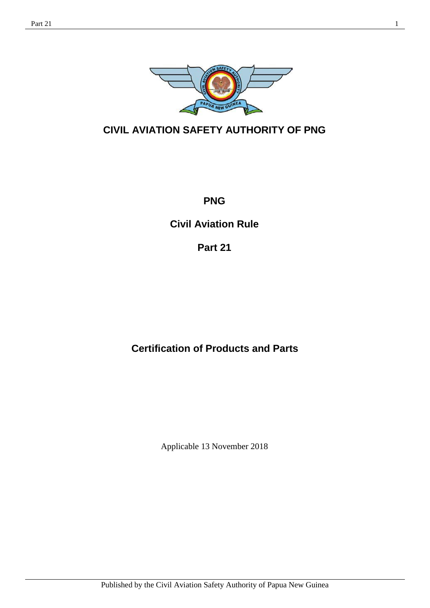

**CIVIL AVIATION SAFETY AUTHORITY OF PNG**

**PNG**

**Civil Aviation Rule** 

**Part 21**

# **Certification of Products and Parts**

Applicable 13 November 2018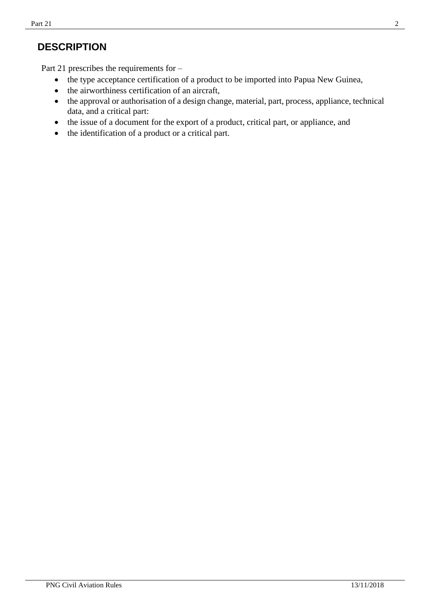# **DESCRIPTION**

Part 21 prescribes the requirements for –

- the type acceptance certification of a product to be imported into Papua New Guinea,
- the airworthiness certification of an aircraft,
- the approval or authorisation of a design change, material, part, process, appliance, technical data, and a critical part:
- the issue of a document for the export of a product, critical part, or appliance, and
- the identification of a product or a critical part.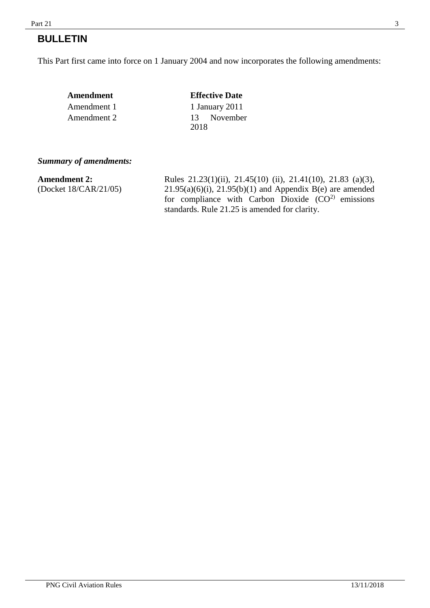#### $Part\ 21$  3

# **BULLETIN**

This Part first came into force on 1 January 2004 and now incorporates the following amendments:

| Amendment   | <b>Effective Date</b> |
|-------------|-----------------------|
| Amendment 1 | 1 January 2011        |
| Amendment 2 | 13 November<br>2018   |

#### *Summary of amendments:*

| <b>Amendment 2:</b>   | Rules $21.23(1)(ii)$ , $21.45(10)(ii)$ , $21.41(10)$ , $21.83(a)(3)$ , |
|-----------------------|------------------------------------------------------------------------|
| (Docket 18/CAR/21/05) | $21.95(a)(6)(i)$ , $21.95(b)(1)$ and Appendix B(e) are amended         |
|                       | for compliance with Carbon Dioxide $(CO2)$ emissions                   |
|                       | standards. Rule 21.25 is amended for clarity.                          |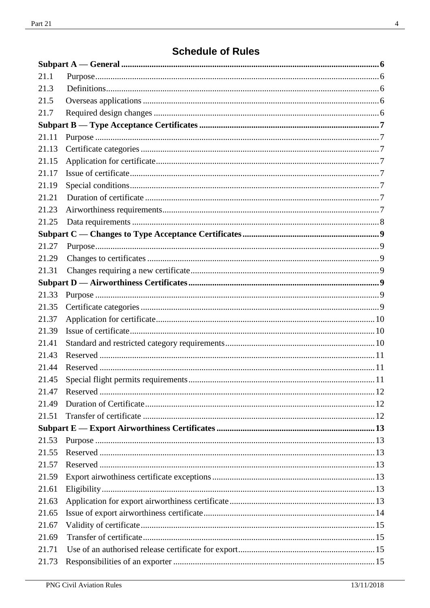# **Schedule of Rules**

| 21.1  |  |
|-------|--|
| 21.3  |  |
| 21.5  |  |
| 21.7  |  |
|       |  |
| 21.11 |  |
| 21.13 |  |
| 21.15 |  |
| 21.17 |  |
| 21.19 |  |
| 21.21 |  |
| 21.23 |  |
| 21.25 |  |
|       |  |
| 21.27 |  |
| 21.29 |  |
| 21.31 |  |
|       |  |
| 21.33 |  |
| 21.35 |  |
| 21.37 |  |
| 21.39 |  |
| 21.41 |  |
| 21.43 |  |
| 21.44 |  |
| 21.45 |  |
| 21.47 |  |
| 21.49 |  |
| 21.51 |  |
|       |  |
| 21.53 |  |
| 21.55 |  |
| 21.57 |  |
| 21.59 |  |
| 21.61 |  |
| 21.63 |  |
| 21.65 |  |
| 21.67 |  |
| 21.69 |  |
| 21.71 |  |
| 21.73 |  |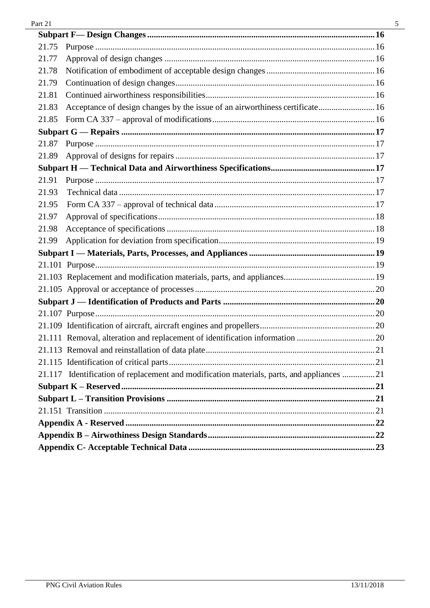| 21.75 |                                                                                           |  |
|-------|-------------------------------------------------------------------------------------------|--|
| 21.77 |                                                                                           |  |
| 21.78 |                                                                                           |  |
| 21.79 |                                                                                           |  |
| 21.81 |                                                                                           |  |
| 21.83 | Acceptance of design changes by the issue of an airworthiness certificate 16              |  |
| 21.85 |                                                                                           |  |
|       |                                                                                           |  |
| 21.87 |                                                                                           |  |
| 21.89 |                                                                                           |  |
|       |                                                                                           |  |
| 21.91 |                                                                                           |  |
| 21.93 |                                                                                           |  |
| 21.95 |                                                                                           |  |
| 21.97 |                                                                                           |  |
| 21.98 |                                                                                           |  |
| 21.99 |                                                                                           |  |
|       |                                                                                           |  |
|       |                                                                                           |  |
|       |                                                                                           |  |
|       |                                                                                           |  |
|       |                                                                                           |  |
|       |                                                                                           |  |
|       |                                                                                           |  |
|       |                                                                                           |  |
|       |                                                                                           |  |
|       |                                                                                           |  |
|       | 21.117 Identification of replacement and modification materials, parts, and appliances 21 |  |
|       |                                                                                           |  |
|       |                                                                                           |  |
|       |                                                                                           |  |
|       |                                                                                           |  |
|       |                                                                                           |  |
|       |                                                                                           |  |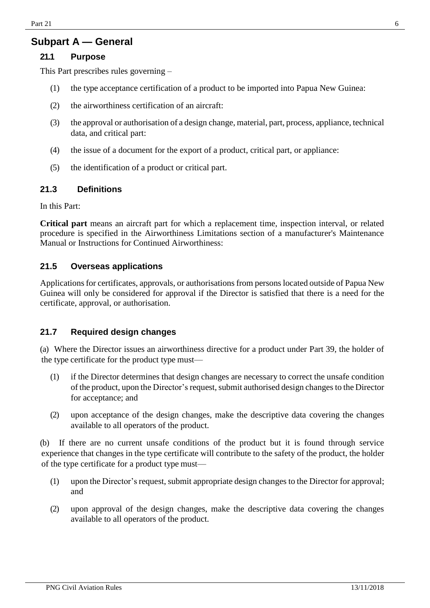# **Subpart A — General**

#### **21.1 Purpose**

This Part prescribes rules governing –

- (1) the type acceptance certification of a product to be imported into Papua New Guinea:
- (2) the airworthiness certification of an aircraft:
- (3) the approval or authorisation of a design change, material, part, process, appliance, technical data, and critical part:
- (4) the issue of a document for the export of a product, critical part, or appliance:
- (5) the identification of a product or critical part.

### <span id="page-5-0"></span>**21.3 Definitions**

In this Part:

**Critical part** means an aircraft part for which a replacement time, inspection interval, or related procedure is specified in the Airworthiness Limitations section of a manufacturer's Maintenance Manual or Instructions for Continued Airworthiness:

#### <span id="page-5-1"></span>**21.5 Overseas applications**

Applications for certificates, approvals, or authorisations from persons located outside of Papua New Guinea will only be considered for approval if the Director is satisfied that there is a need for the certificate, approval, or authorisation.

### <span id="page-5-2"></span>**21.7 Required design changes**

(a) Where the Director issues an airworthiness directive for a product under Part 39, the holder of the type certificate for the product type must—

- (1) if the Director determines that design changes are necessary to correct the unsafe condition of the product, upon the Director's request, submit authorised design changes to the Director for acceptance; and
- (2) upon acceptance of the design changes, make the descriptive data covering the changes available to all operators of the product.

(b) If there are no current unsafe conditions of the product but it is found through service experience that changes in the type certificate will contribute to the safety of the product, the holder of the type certificate for a product type must—

- (1) upon the Director's request, submit appropriate design changes to the Director for approval; and
- (2) upon approval of the design changes, make the descriptive data covering the changes available to all operators of the product.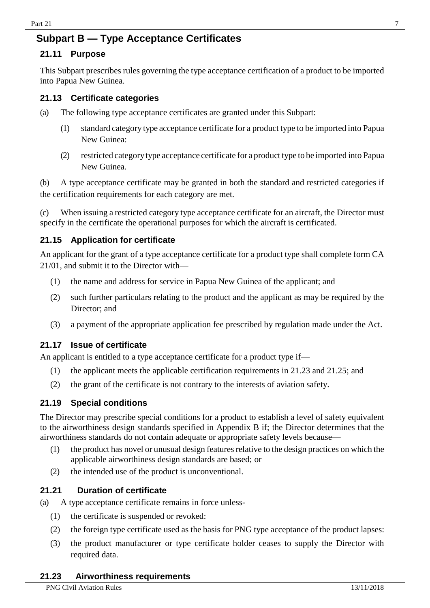# <span id="page-6-0"></span>**Subpart B — Type Acceptance Certificates**

#### <span id="page-6-1"></span>**21.11 Purpose**

This Subpart prescribes rules governing the type acceptance certification of a product to be imported into Papua New Guinea.

#### <span id="page-6-2"></span>**21.13 Certificate categories**

- (a) The following type acceptance certificates are granted under this Subpart:
	- (1) standard category type acceptance certificate for a product type to be imported into Papua New Guinea:
	- (2) restricted categorytype acceptance certificate for a product type to be imported into Papua New Guinea.

(b) A type acceptance certificate may be granted in both the standard and restricted categories if the certification requirements for each category are met.

(c) When issuing a restricted category type acceptance certificate for an aircraft, the Director must specify in the certificate the operational purposes for which the aircraft is certificated.

#### <span id="page-6-3"></span>**21.15 Application for certificate**

An applicant for the grant of a type acceptance certificate for a product type shall complete form CA 21/01, and submit it to the Director with—

- (1) the name and address for service in Papua New Guinea of the applicant; and
- (2) such further particulars relating to the product and the applicant as may be required by the Director; and
- (3) a payment of the appropriate application fee prescribed by regulation made under the Act.

#### <span id="page-6-4"></span>**21.17 Issue of certificate**

An applicant is entitled to a type acceptance certificate for a product type if—

- (1) the applicant meets the applicable certification requirements in 21.23 and 21.25; and
- (2) the grant of the certificate is not contrary to the interests of aviation safety.

#### <span id="page-6-5"></span>**21.19 Special conditions**

The Director may prescribe special conditions for a product to establish a level of safety equivalent to the airworthiness design standards specified in Appendix B if; the Director determines that the airworthiness standards do not contain adequate or appropriate safety levels because—

- $(1)$  the product has novel or unusual design features relative to the design practices on which the applicable airworthiness design standards are based; or
- (2) the intended use of the product is unconventional.

#### <span id="page-6-6"></span>**21.21 Duration of certificate**

(a) A type acceptance certificate remains in force unless-

- (1) the certificate is suspended or revoked:
- (2) the foreign type certificate used as the basis for PNG type acceptance of the product lapses:
- <span id="page-6-7"></span>(3) the product manufacturer or type certificate holder ceases to supply the Director with required data.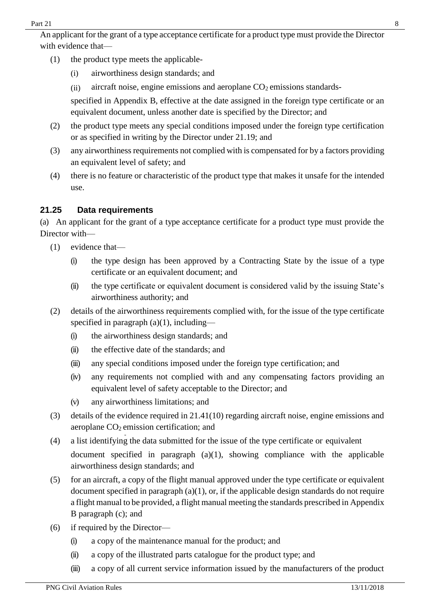An applicant for the grant of a type acceptance certificate for a product type must provide the Director with evidence that—

- (1) the product type meets the applicable-
	- (i) airworthiness design standards; and
	- (ii) aircraft noise, engine emissions and aeroplane  $CO<sub>2</sub>$  emissions standards-

specified in Appendix B, effective at the date assigned in the foreign type certificate or an equivalent document, unless another date is specified by the Director; and

- (2) the product type meets any special conditions imposed under the foreign type certification or as specified in writing by the Director under 21.19; and
- (3) any airworthiness requirements not complied with is compensated for by a factors providing an equivalent level of safety; and
- (4) there is no feature or characteristic of the product type that makes it unsafe for the intended use.

### <span id="page-7-0"></span>**21.25 Data requirements**

(a) An applicant for the grant of a type acceptance certificate for a product type must provide the Director with—

- (1) evidence that—
	- (i) the type design has been approved by a Contracting State by the issue of a type certificate or an equivalent document; and
	- (ii) the type certificate or equivalent document is considered valid by the issuing State's airworthiness authority; and
- (2) details of the airworthiness requirements complied with, for the issue of the type certificate specified in paragraph  $(a)(1)$ , including—
	- (i) the airworthiness design standards; and
	- (ii) the effective date of the standards; and
	- (iii) any special conditions imposed under the foreign type certification; and
	- (iv) any requirements not complied with and any compensating factors providing an equivalent level of safety acceptable to the Director; and
	- (v) any airworthiness limitations; and
- (3) details of the evidence required in 21.41(10) regarding aircraft noise, engine emissions and aeroplane CO<sub>2</sub> emission certification; and
- (4) a list identifying the data submitted for the issue of the type certificate or equivalent document specified in paragraph (a)(1), showing compliance with the applicable airworthiness design standards; and
- (5) for an aircraft, a copy of the flight manual approved under the type certificate or equivalent document specified in paragraph  $(a)(1)$ , or, if the applicable design standards do not require a flight manual to be provided, a flight manual meeting the standards prescribed in Appendix B paragraph (c); and
- (6) if required by the Director—
	- (i) a copy of the maintenance manual for the product; and
	- (ii) a copy of the illustrated parts catalogue for the product type; and
	- (iii) a copy of all current service information issued by the manufacturers of the product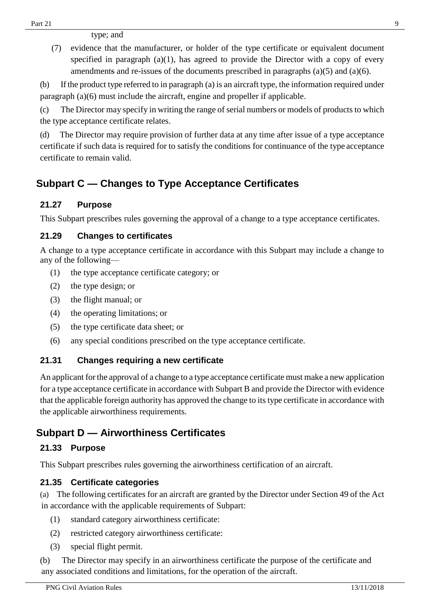type; and

(7) evidence that the manufacturer, or holder of the type certificate or equivalent document specified in paragraph  $(a)(1)$ , has agreed to provide the Director with a copy of every amendments and re-issues of the documents prescribed in paragraphs (a)(5) and (a)(6).

(b) Ifthe product type referred to in paragraph (a) is an aircraft type, the information required under paragraph (a)(6) must include the aircraft, engine and propeller if applicable.

(c) The Director may specify in writing the range of serial numbers or models of products to which the type acceptance certificate relates.

(d) The Director may require provision of further data at any time after issue of a type acceptance certificate if such data is required for to satisfy the conditions for continuance of the type acceptance certificate to remain valid.

# <span id="page-8-0"></span>**Subpart C — Changes to Type Acceptance Certificates**

## <span id="page-8-1"></span>**21.27 Purpose**

This Subpart prescribes rules governing the approval of a change to a type acceptance certificates.

### <span id="page-8-2"></span>**21.29 Changes to certificates**

A change to a type acceptance certificate in accordance with this Subpart may include a change to any of the following—

- (1) the type acceptance certificate category; or
- (2) the type design; or
- (3) the flight manual; or
- (4) the operating limitations; or
- (5) the type certificate data sheet; or
- (6) any special conditions prescribed on the type acceptance certificate.

### <span id="page-8-3"></span>**21.31 Changes requiring a new certificate**

An applicant forthe approval of a change to a type acceptance certificate must make a new application for a type acceptance certificate in accordance with Subpart B and provide the Director with evidence that the applicable foreign authority has approved the change to its type certificate in accordance with the applicable airworthiness requirements.

# <span id="page-8-4"></span>**Subpart D — Airworthiness Certificates**

### <span id="page-8-5"></span>**21.33 Purpose**

This Subpart prescribes rules governing the airworthiness certification of an aircraft.

### <span id="page-8-6"></span>**21.35 Certificate categories**

(a) The following certificates for an aircraft are granted by the Director under Section 49 of the Act in accordance with the applicable requirements of Subpart:

- (1) standard category airworthiness certificate:
- (2) restricted category airworthiness certificate:
- (3) special flight permit.

(b) The Director may specify in an airworthiness certificate the purpose of the certificate and any associated conditions and limitations, for the operation of the aircraft.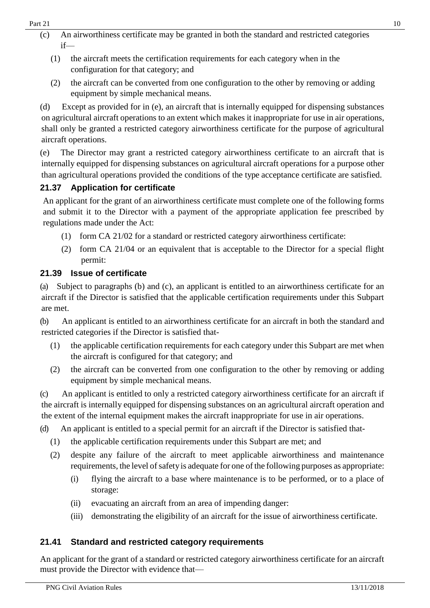- (c) An airworthiness certificate may be granted in both the standard and restricted categories if—
	- (1) the aircraft meets the certification requirements for each category when in the configuration for that category; and
	- (2) the aircraft can be converted from one configuration to the other by removing or adding equipment by simple mechanical means.

(d) Except as provided for in (e), an aircraft that is internally equipped for dispensing substances on agricultural aircraft operations to an extent which makes it inappropriate for use in air operations, shall only be granted a restricted category airworthiness certificate for the purpose of agricultural aircraft operations.

(e) The Director may grant a restricted category airworthiness certificate to an aircraft that is internally equipped for dispensing substances on agricultural aircraft operations for a purpose other than agricultural operations provided the conditions of the type acceptance certificate are satisfied.

## <span id="page-9-0"></span>**21.37 Application for certificate**

An applicant for the grant of an airworthiness certificate must complete one of the following forms and submit it to the Director with a payment of the appropriate application fee prescribed by regulations made under the Act:

- (1) form CA 21/02 for a standard or restricted category airworthiness certificate:
- (2) form CA 21/04 or an equivalent that is acceptable to the Director for a special flight permit:

### <span id="page-9-1"></span>**21.39 Issue of certificate**

(a) Subject to paragraphs (b) and (c), an applicant is entitled to an airworthiness certificate for an aircraft if the Director is satisfied that the applicable certification requirements under this Subpart are met.

(b) An applicant is entitled to an airworthiness certificate for an aircraft in both the standard and restricted categories if the Director is satisfied that-

- (1) the applicable certification requirements for each category under this Subpart are met when the aircraft is configured for that category; and
- (2) the aircraft can be converted from one configuration to the other by removing or adding equipment by simple mechanical means.

(c) An applicant is entitled to only a restricted category airworthiness certificate for an aircraft if the aircraft is internally equipped for dispensing substances on an agricultural aircraft operation and the extent of the internal equipment makes the aircraft inappropriate for use in air operations.

(d) An applicant is entitled to a special permit for an aircraft if the Director is satisfied that-

- (1) the applicable certification requirements under this Subpart are met; and
- (2) despite any failure of the aircraft to meet applicable airworthiness and maintenance requirements, the level of safety is adequate for one of the following purposes as appropriate:
	- (i) flying the aircraft to a base where maintenance is to be performed, or to a place of storage:
	- (ii) evacuating an aircraft from an area of impending danger:
	- (iii) demonstrating the eligibility of an aircraft for the issue of airworthiness certificate.

# <span id="page-9-2"></span>**21.41 Standard and restricted category requirements**

An applicant for the grant of a standard or restricted category airworthiness certificate for an aircraft must provide the Director with evidence that—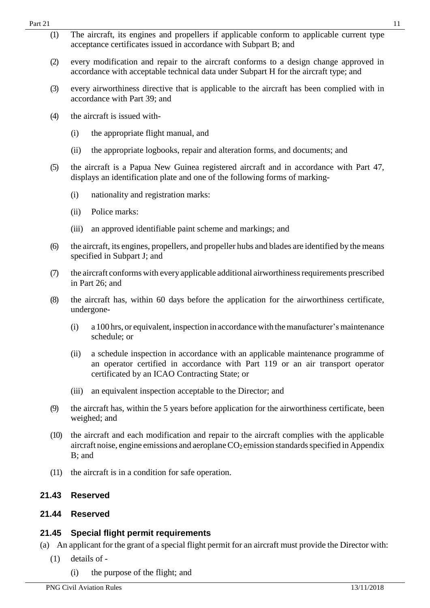| 21.44 | <b>Reserved</b>                                                                                                                                                                                                            |
|-------|----------------------------------------------------------------------------------------------------------------------------------------------------------------------------------------------------------------------------|
| 21.43 | <b>Reserved</b>                                                                                                                                                                                                            |
| (11)  | the aircraft is in a condition for safe operation.                                                                                                                                                                         |
| (10)  | the aircraft and each modification and repair to the aircraft complies with the applicable<br>aircraft noise, engine emissions and aeroplane CO <sub>2</sub> emission standards specified in Appendix<br>$B$ ; and         |
| (9)   | the aircraft has, within the 5 years before application for the airworthiness certificate, been<br>weighed; and                                                                                                            |
|       | an equivalent inspection acceptable to the Director; and<br>(iii)                                                                                                                                                          |
|       | a schedule inspection in accordance with an applicable maintenance programme of<br>(ii)<br>an operator certified in accordance with Part 119 or an air transport operator<br>certificated by an ICAO Contracting State; or |
|       | a 100 hrs, or equivalent, inspection in accordance with the manufacturer's maintenance<br>(i)<br>schedule; or                                                                                                              |
| (8)   | the aircraft has, within 60 days before the application for the airworthiness certificate,<br>undergone-                                                                                                                   |
| (7)   | the aircraft conforms with every applicable additional airworthiness requirements prescribed<br>in Part 26; and                                                                                                            |
| (6)   | the aircraft, its engines, propellers, and propeller hubs and blades are identified by the means<br>specified in Subpart J; and                                                                                            |
|       | (iii)<br>an approved identifiable paint scheme and markings; and                                                                                                                                                           |
|       | Police marks:<br>(ii)                                                                                                                                                                                                      |
|       | nationality and registration marks:<br>(i)                                                                                                                                                                                 |
| (5)   | the aircraft is a Papua New Guinea registered aircraft and in accordance with Part 47,<br>displays an identification plate and one of the following forms of marking-                                                      |
|       | the appropriate logbooks, repair and alteration forms, and documents; and<br>(ii)                                                                                                                                          |
|       | the appropriate flight manual, and<br>(i)                                                                                                                                                                                  |
| (4)   | the aircraft is issued with-                                                                                                                                                                                               |
| (3)   | every airworthiness directive that is applicable to the aircraft has been complied with in<br>accordance with Part 39; and                                                                                                 |
| (2)   | every modification and repair to the aircraft conforms to a design change approved in<br>accordance with acceptable technical data under Subpart H for the aircraft type; and                                              |
| (1)   | The aircraft, its engines and propellers if applicable conform to applicable current type<br>acceptance certificates issued in accordance with Subpart B; and                                                              |

# <span id="page-10-0"></span>**21.45 Special flight permit requirements**

- (a) An applicant for the grant of a special flight permit for an aircraft must provide the Director with:
	- (1) details of
		- (i) the purpose of the flight; and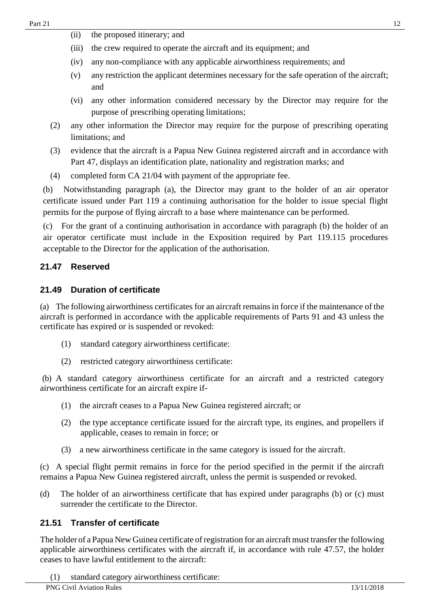- (ii) the proposed itinerary; and
- (iii) the crew required to operate the aircraft and its equipment; and
- (iv) any non-compliance with any applicable airworthiness requirements; and
- (v) any restriction the applicant determines necessary for the safe operation of the aircraft; and
- (vi) any other information considered necessary by the Director may require for the purpose of prescribing operating limitations;
- (2) any other information the Director may require for the purpose of prescribing operating limitations; and
- (3) evidence that the aircraft is a Papua New Guinea registered aircraft and in accordance with Part 47, displays an identification plate, nationality and registration marks; and
- (4) completed form CA 21/04 with payment of the appropriate fee.

(b) Notwithstanding paragraph (a), the Director may grant to the holder of an air operator certificate issued under Part 119 a continuing authorisation for the holder to issue special flight permits for the purpose of flying aircraft to a base where maintenance can be performed.

(c) For the grant of a continuing authorisation in accordance with paragraph (b) the holder of an air operator certificate must include in the Exposition required by Part 119.115 procedures acceptable to the Director for the application of the authorisation.

### <span id="page-11-0"></span>**21.47 Reserved**

#### **21.49 Duration of certificate**

(a) The following airworthiness certificates for an aircraft remainsin force if the maintenance of the aircraft is performed in accordance with the applicable requirements of Parts 91 and 43 unless the certificate has expired or is suspended or revoked:

- (1) standard category airworthiness certificate:
- (2) restricted category airworthiness certificate:

(b) A standard category airworthiness certificate for an aircraft and a restricted category airworthiness certificate for an aircraft expire if-

- (1) the aircraft ceases to a Papua New Guinea registered aircraft; or
- (2) the type acceptance certificate issued for the aircraft type, its engines, and propellers if applicable, ceases to remain in force; or
- (3) a new airworthiness certificate in the same category is issued for the aircraft.

(c) A special flight permit remains in force for the period specified in the permit if the aircraft remains a Papua New Guinea registered aircraft, unless the permit is suspended or revoked.

(d) The holder of an airworthiness certificate that has expired under paragraphs (b) or (c) must surrender the certificate to the Director.

### <span id="page-11-1"></span>**21.51 Transfer of certificate**

The holder of a Papua New Guinea certificate of registration for an aircraft must transfer the following applicable airworthiness certificates with the aircraft if, in accordance with rule 47.57, the holder ceases to have lawful entitlement to the aircraft:

(1) standard category airworthiness certificate: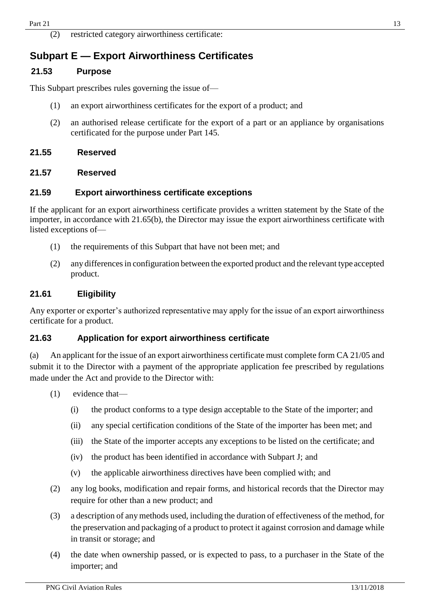# <span id="page-12-0"></span>**Subpart E — Export Airworthiness Certificates**

#### <span id="page-12-1"></span>**21.53 Purpose**

This Subpart prescribes rules governing the issue of—

- (1) an export airworthiness certificates for the export of a product; and
- (2) an authorised release certificate for the export of a part or an appliance by organisations certificated for the purpose under Part 145.

#### <span id="page-12-2"></span>**21.55 Reserved**

#### **21.57 Reserved**

#### **21.59 Export airworthiness certificate exceptions**

If the applicant for an export airworthiness certificate provides a written statement by the State of the importer, in accordance with 21.65(b), the Director may issue the export airworthiness certificate with listed exceptions of—

- (1) the requirements of this Subpart that have not been met; and
- (2) any differencesin configuration between the exported product and the relevant type accepted product.

#### <span id="page-12-3"></span>**21.61 Eligibility**

Any exporter or exporter's authorized representative may apply for the issue of an export airworthiness certificate for a product.

#### <span id="page-12-4"></span>**21.63 Application for export airworthiness certificate**

(a) An applicant for the issue of an export airworthiness certificate must complete form CA 21/05 and submit it to the Director with a payment of the appropriate application fee prescribed by regulations made under the Act and provide to the Director with:

- (1) evidence that—
	- (i) the product conforms to a type design acceptable to the State of the importer; and
	- (ii) any special certification conditions of the State of the importer has been met; and
	- (iii) the State of the importer accepts any exceptions to be listed on the certificate; and
	- (iv) the product has been identified in accordance with Subpart J; and
	- (v) the applicable airworthiness directives have been complied with; and
- (2) any log books, modification and repair forms, and historical records that the Director may require for other than a new product; and
- (3) a description of anymethods used, including the duration of effectiveness of the method, for the preservation and packaging of a product to protect it against corrosion and damage while in transit or storage; and
- (4) the date when ownership passed, or is expected to pass, to a purchaser in the State of the importer; and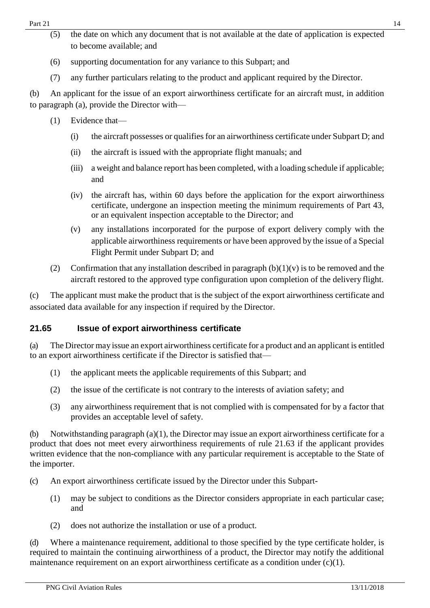- (6) supporting documentation for any variance to this Subpart; and
- (7) any further particulars relating to the product and applicant required by the Director.

(b) An applicant for the issue of an export airworthiness certificate for an aircraft must, in addition to paragraph (a), provide the Director with—

- (1) Evidence that—
	- (i) the aircraft possesses or qualifies for an airworthiness certificate under Subpart D; and
	- (ii) the aircraft is issued with the appropriate flight manuals; and
	- (iii) a weight and balance report has been completed, with a loading schedule if applicable; and
	- (iv) the aircraft has, within 60 days before the application for the export airworthiness certificate, undergone an inspection meeting the minimum requirements of Part 43, or an equivalent inspection acceptable to the Director; and
	- (v) any installations incorporated for the purpose of export delivery comply with the applicable airworthiness requirements or have been approved by the issue of a Special Flight Permit under Subpart D; and
- (2) Confirmation that any installation described in paragraph  $(b)(1)(v)$  is to be removed and the aircraft restored to the approved type configuration upon completion of the delivery flight.

(c) The applicant must make the product that is the subject of the export airworthiness certificate and associated data available for any inspection if required by the Director.

### <span id="page-13-0"></span>**21.65 Issue of export airworthiness certificate**

(a) The Director may issue an export airworthiness certificate for a product and an applicant is entitled to an export airworthiness certificate if the Director is satisfied that—

- (1) the applicant meets the applicable requirements of this Subpart; and
- (2) the issue of the certificate is not contrary to the interests of aviation safety; and
- (3) any airworthiness requirement that is not complied with is compensated for by a factor that provides an acceptable level of safety.

(b) Notwithstanding paragraph (a)(1), the Director may issue an export airworthiness certificate for a product that does not meet every airworthiness requirements of rule 21.63 if the applicant provides written evidence that the non-compliance with any particular requirement is acceptable to the State of the importer.

- (c) An export airworthiness certificate issued by the Director under this Subpart-
	- (1) may be subject to conditions as the Director considers appropriate in each particular case; and
	- (2) does not authorize the installation or use of a product.

(d) Where a maintenance requirement, additional to those specified by the type certificate holder, is required to maintain the continuing airworthiness of a product, the Director may notify the additional maintenance requirement on an export airworthiness certificate as a condition under (c)(1).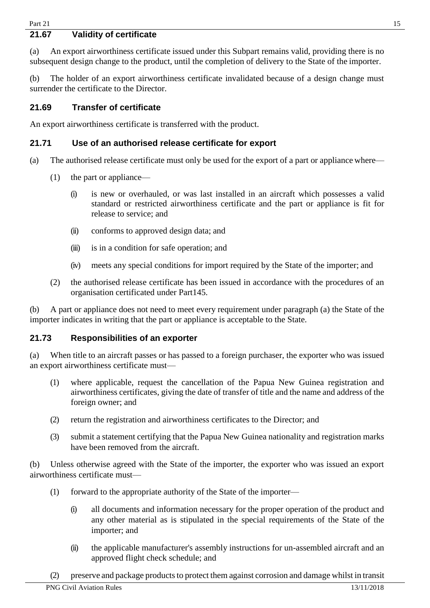#### <span id="page-14-0"></span>**21.67 Validity of certificate**

(a) An export airworthiness certificate issued under this Subpart remains valid, providing there is no subsequent design change to the product, until the completion of delivery to the State of the importer.

(b) The holder of an export airworthiness certificate invalidated because of a design change must surrender the certificate to the Director.

#### <span id="page-14-1"></span>**21.69 Transfer of certificate**

An export airworthiness certificate is transferred with the product.

#### <span id="page-14-2"></span>**21.71 Use of an authorised release certificate for export**

- (a) The authorised release certificate must only be used for the export of a part or appliance where—
	- (1) the part or appliance—
		- (i) is new or overhauled, or was last installed in an aircraft which possesses a valid standard or restricted airworthiness certificate and the part or appliance is fit for release to service; and
		- (ii) conforms to approved design data; and
		- (iii) is in a condition for safe operation; and
		- (iv) meets any special conditions for import required by the State of the importer; and
	- (2) the authorised release certificate has been issued in accordance with the procedures of an organisation certificated under Part145.

(b) A part or appliance does not need to meet every requirement under paragraph (a) the State of the importer indicates in writing that the part or appliance is acceptable to the State.

#### <span id="page-14-3"></span>**21.73 Responsibilities of an exporter**

(a) When title to an aircraft passes or has passed to a foreign purchaser, the exporter who was issued an export airworthiness certificate must—

- (1) where applicable, request the cancellation of the Papua New Guinea registration and airworthiness certificates, giving the date of transfer of title and the name and address of the foreign owner; and
- (2) return the registration and airworthiness certificates to the Director; and
- (3) submit a statement certifying that the Papua New Guinea nationality and registration marks have been removed from the aircraft.

(b) Unless otherwise agreed with the State of the importer, the exporter who was issued an export airworthiness certificate must—

- (1) forward to the appropriate authority of the State of the importer—
	- (i) all documents and information necessary for the proper operation of the product and any other material as is stipulated in the special requirements of the State of the importer; and
	- (ii) the applicable manufacturer's assembly instructions for un-assembled aircraft and an approved flight check schedule; and
- (2) preserve and package products to protect them against corrosion and damage whilst in transit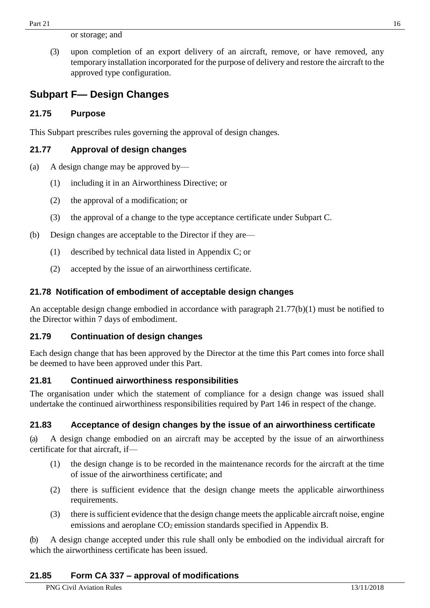or storage; and

(3) upon completion of an export delivery of an aircraft, remove, or have removed, any temporary installation incorporated for the purpose of delivery and restore the aircraft to the approved type configuration.

## <span id="page-15-0"></span>**Subpart F— Design Changes**

#### <span id="page-15-1"></span>**21.75 Purpose**

This Subpart prescribes rules governing the approval of design changes.

#### <span id="page-15-2"></span>**21.77 Approval of design changes**

- (a) A design change may be approved by—
	- (1) including it in an Airworthiness Directive; or
	- (2) the approval of a modification; or
	- (3) the approval of a change to the type acceptance certificate under Subpart C.
- (b) Design changes are acceptable to the Director if they are—
	- (1) described by technical data listed in Appendix C; or
	- (2) accepted by the issue of an airworthiness certificate.

#### <span id="page-15-3"></span>**21.78 Notification of embodiment of acceptable design changes**

An acceptable design change embodied in accordance with paragraph 21.77(b)(1) must be notified to the Director within 7 days of embodiment.

#### <span id="page-15-4"></span>**21.79 Continuation of design changes**

Each design change that has been approved by the Director at the time this Part comes into force shall be deemed to have been approved under this Part.

#### <span id="page-15-5"></span>**21.81 Continued airworthiness responsibilities**

The organisation under which the statement of compliance for a design change was issued shall undertake the continued airworthiness responsibilities required by Part 146 in respect of the change.

#### <span id="page-15-6"></span>**21.83 Acceptance of design changes by the issue of an airworthiness certificate**

(a) A design change embodied on an aircraft may be accepted by the issue of an airworthiness certificate for that aircraft, if—

- (1) the design change is to be recorded in the maintenance records for the aircraft at the time of issue of the airworthiness certificate; and
- (2) there is sufficient evidence that the design change meets the applicable airworthiness requirements.
- (3) there issufficient evidence that the design change meets the applicable aircraft noise, engine emissions and aeroplane CO<sub>2</sub> emission standards specified in Appendix B.

(b) A design change accepted under this rule shall only be embodied on the individual aircraft for which the airworthiness certificate has been issued.

#### <span id="page-15-7"></span>**21.85 Form CA 337 – approval of modifications**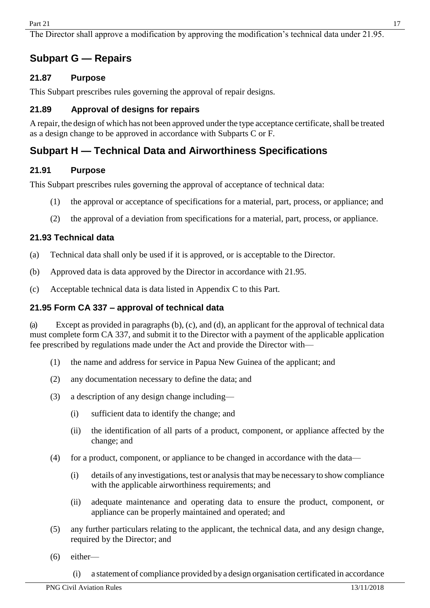The Director shall approve a modification by approving the modification's technical data under 21.95.

## <span id="page-16-0"></span>**Subpart G — Repairs**

#### <span id="page-16-1"></span>**21.87 Purpose**

This Subpart prescribes rules governing the approval of repair designs.

#### <span id="page-16-2"></span>**21.89 Approval of designs for repairs**

A repair, the design of which has not been approved under the type acceptance certificate, shall be treated as a design change to be approved in accordance with Subparts C or F.

## <span id="page-16-3"></span>**Subpart H — Technical Data and Airworthiness Specifications**

#### <span id="page-16-4"></span>**21.91 Purpose**

This Subpart prescribes rules governing the approval of acceptance of technical data:

- (1) the approval or acceptance of specifications for a material, part, process, or appliance; and
- (2) the approval of a deviation from specifications for a material, part, process, or appliance.

#### <span id="page-16-5"></span>**21.93 Technical data**

- (a) Technical data shall only be used if it is approved, or is acceptable to the Director.
- (b) Approved data is data approved by the Director in accordance with 21.95.
- (c) Acceptable technical data is data listed in Appendix C to this Part.

#### <span id="page-16-6"></span>**21.95 Form CA 337 – approval of technical data**

(a) Except as provided in paragraphs (b), (c), and (d), an applicant for the approval of technical data must complete form CA 337, and submit it to the Director with a payment of the applicable application fee prescribed by regulations made under the Act and provide the Director with—

- (1) the name and address for service in Papua New Guinea of the applicant; and
- (2) any documentation necessary to define the data; and
- (3) a description of any design change including—
	- (i) sufficient data to identify the change; and
	- (ii) the identification of all parts of a product, component, or appliance affected by the change; and
- (4) for a product, component, or appliance to be changed in accordance with the data—
	- (i) details of any investigations, test or analysisthat may be necessary to show compliance with the applicable airworthiness requirements; and
	- (ii) adequate maintenance and operating data to ensure the product, component, or appliance can be properly maintained and operated; and
- (5) any further particulars relating to the applicant, the technical data, and any design change, required by the Director; and
- (6) either—

(i) a statement of compliance provided by a design organisation certificated in accordance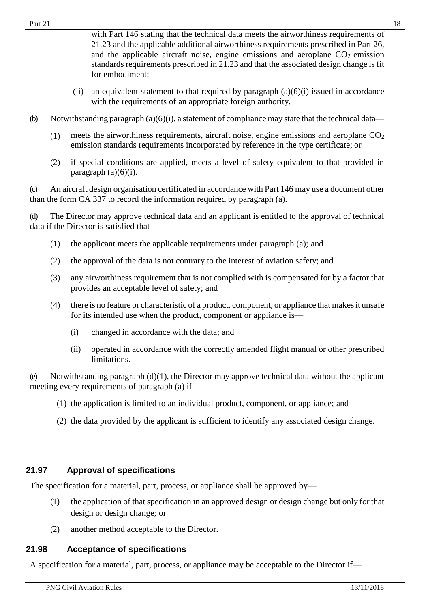- (ii) an equivalent statement to that required by paragraph  $(a)(6)(i)$  issued in accordance with the requirements of an appropriate foreign authority.
- (b) Notwithstanding paragraph (a)(6)(i), a statement of compliance may state that the technical data—
	- (1) meets the airworthiness requirements, aircraft noise, engine emissions and aeroplane  $CO<sub>2</sub>$ emission standards requirements incorporated by reference in the type certificate; or
	- (2) if special conditions are applied, meets a level of safety equivalent to that provided in paragraph  $(a)(6)(i)$ .

(c) An aircraft design organisation certificated in accordance with Part 146 may use a document other than the form CA 337 to record the information required by paragraph (a).

(d) The Director may approve technical data and an applicant is entitled to the approval of technical data if the Director is satisfied that—

- (1) the applicant meets the applicable requirements under paragraph (a); and
- (2) the approval of the data is not contrary to the interest of aviation safety; and
- (3) any airworthiness requirement that is not complied with is compensated for by a factor that provides an acceptable level of safety; and
- (4) there is no feature or characteristic of a product, component, or appliance that makesit unsafe for its intended use when the product, component or appliance is—
	- (i) changed in accordance with the data; and
	- (ii) operated in accordance with the correctly amended flight manual or other prescribed limitations.

(e) Notwithstanding paragraph  $(d)(1)$ , the Director may approve technical data without the applicant meeting every requirements of paragraph (a) if-

- (1) the application is limited to an individual product, component, or appliance; and
- (2) the data provided by the applicant is sufficient to identify any associated design change.

#### <span id="page-17-0"></span>**21.97 Approval of specifications**

The specification for a material, part, process, or appliance shall be approved by—

- (1) the application of that specification in an approved design or design change but only for that design or design change; or
- (2) another method acceptable to the Director.

#### <span id="page-17-1"></span>**21.98 Acceptance of specifications**

A specification for a material, part, process, or appliance may be acceptable to the Director if—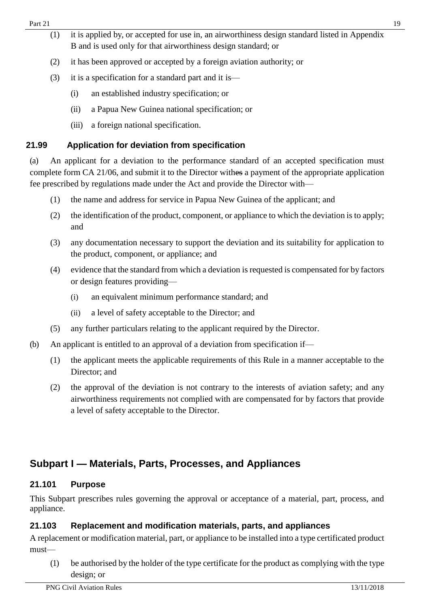- (1) it is applied by, or accepted for use in, an airworthiness design standard listed in Appendix B and is used only for that airworthiness design standard; or
- (2) it has been approved or accepted by a foreign aviation authority; or
- (3) it is a specification for a standard part and it is—
	- (i) an established industry specification; or
	- (ii) a Papua New Guinea national specification; or
	- (iii) a foreign national specification.

### <span id="page-18-0"></span>**21.99 Application for deviation from specification**

(a) An applicant for a deviation to the performance standard of an accepted specification must complete form CA 21/06, and submit it to the Director withes a payment of the appropriate application fee prescribed by regulations made under the Act and provide the Director with—

- (1) the name and address for service in Papua New Guinea of the applicant; and
- (2) the identification of the product, component, or appliance to which the deviation is to apply; and
- (3) any documentation necessary to support the deviation and its suitability for application to the product, component, or appliance; and
- (4) evidence that the standard from which a deviation isrequested is compensated for by factors or design features providing—
	- (i) an equivalent minimum performance standard; and
	- (ii) a level of safety acceptable to the Director; and
- (5) any further particulars relating to the applicant required by the Director.
- (b) An applicant is entitled to an approval of a deviation from specification if—
	- (1) the applicant meets the applicable requirements of this Rule in a manner acceptable to the Director; and
	- (2) the approval of the deviation is not contrary to the interests of aviation safety; and any airworthiness requirements not complied with are compensated for by factors that provide a level of safety acceptable to the Director.

# <span id="page-18-1"></span>**Subpart I — Materials, Parts, Processes, and Appliances**

#### <span id="page-18-2"></span>**21.101 Purpose**

This Subpart prescribes rules governing the approval or acceptance of a material, part, process, and appliance.

### <span id="page-18-3"></span>**21.103 Replacement and modification materials, parts, and appliances**

A replacement or modification material, part, or appliance to be installed into a type certificated product must—

(1) be authorised by the holder of the type certificate for the product as complying with the type design; or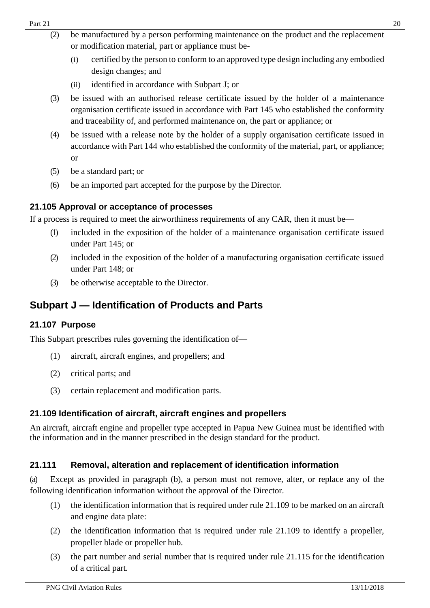- (2) be manufactured by a person performing maintenance on the product and the replacement or modification material, part or appliance must be-
	- (i) certified by the person to conform to an approved type design including any embodied design changes; and
	- (ii) identified in accordance with Subpart J; or
- (3) be issued with an authorised release certificate issued by the holder of a maintenance organisation certificate issued in accordance with Part 145 who established the conformity and traceability of, and performed maintenance on, the part or appliance; or
- (4) be issued with a release note by the holder of a supply organisation certificate issued in accordance with Part 144 who established the conformity of the material, part, or appliance; or
- (5) be a standard part; or
- (6) be an imported part accepted for the purpose by the Director.

#### <span id="page-19-0"></span>**21.105 Approval or acceptance of processes**

If a process is required to meet the airworthiness requirements of any CAR, then it must be—

- (1) included in the exposition of the holder of a maintenance organisation certificate issued under Part 145; or
- (2) included in the exposition of the holder of a manufacturing organisation certificate issued under Part 148; or
- (3) be otherwise acceptable to the Director.

# <span id="page-19-1"></span>**Subpart J — Identification of Products and Parts**

### <span id="page-19-2"></span>**21.107 Purpose**

This Subpart prescribes rules governing the identification of—

- (1) aircraft, aircraft engines, and propellers; and
- (2) critical parts; and
- (3) certain replacement and modification parts.

### <span id="page-19-3"></span>**21.109 Identification of aircraft, aircraft engines and propellers**

An aircraft, aircraft engine and propeller type accepted in Papua New Guinea must be identified with the information and in the manner prescribed in the design standard for the product.

### <span id="page-19-4"></span>**21.111 Removal, alteration and replacement of identification information**

(a) Except as provided in paragraph (b), a person must not remove, alter, or replace any of the following identification information without the approval of the Director.

- (1) the identification information that is required under rule 21.109 to be marked on an aircraft and engine data plate:
- (2) the identification information that is required under rule 21.109 to identify a propeller, propeller blade or propeller hub.
- (3) the part number and serial number that is required under rule 21.115 for the identification of a critical part.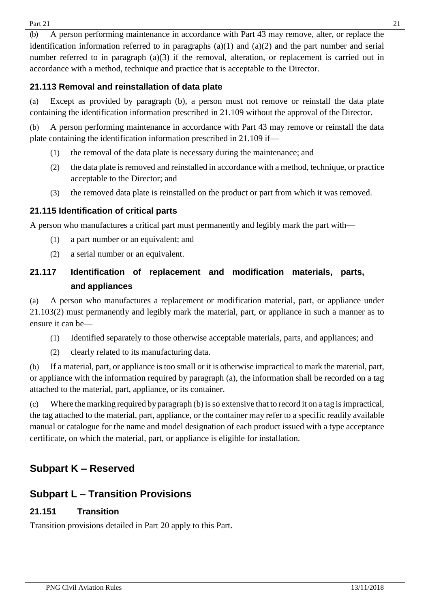Part 21  $\hspace{1.5cm}$  21

(b) A person performing maintenance in accordance with Part 43 may remove, alter, or replace the identification information referred to in paragraphs  $(a)(1)$  and  $(a)(2)$  and the part number and serial number referred to in paragraph (a)(3) if the removal, alteration, or replacement is carried out in accordance with a method, technique and practice that is acceptable to the Director.

### <span id="page-20-0"></span>**21.113 Removal and reinstallation of data plate**

(a) Except as provided by paragraph (b), a person must not remove or reinstall the data plate containing the identification information prescribed in 21.109 without the approval of the Director.

(b) A person performing maintenance in accordance with Part 43 may remove or reinstall the data plate containing the identification information prescribed in 21.109 if—

- (1) the removal of the data plate is necessary during the maintenance; and
- (2) the data plate is removed and reinstalled in accordance with a method, technique, or practice acceptable to the Director; and
- (3) the removed data plate is reinstalled on the product or part from which it was removed.

### <span id="page-20-1"></span>**21.115 Identification of critical parts**

A person who manufactures a critical part must permanently and legibly mark the part with—

- (1) a part number or an equivalent; and
- (2) a serial number or an equivalent.

# <span id="page-20-2"></span>**21.117 Identification of replacement and modification materials, parts, and appliances**

(a) A person who manufactures a replacement or modification material, part, or appliance under 21.103(2) must permanently and legibly mark the material, part, or appliance in such a manner as to ensure it can be—

- (1) Identified separately to those otherwise acceptable materials, parts, and appliances; and
- (2) clearly related to its manufacturing data.

(b) If a material, part, or appliance is too small or it is otherwise impractical to mark the material, part, or appliance with the information required by paragraph (a), the information shall be recorded on a tag attached to the material, part, appliance, or its container.

(c) Where the marking required by paragraph (b)isso extensive that to record it on a tag isimpractical, the tag attached to the material, part, appliance, or the container may refer to a specific readily available manual or catalogue for the name and model designation of each product issued with a type acceptance certificate, on which the material, part, or appliance is eligible for installation.

# **Subpart K – Reserved**

# <span id="page-20-3"></span>**Subpart L – Transition Provisions**

### <span id="page-20-4"></span>**21.151 Transition**

Transition provisions detailed in Part 20 apply to this Part.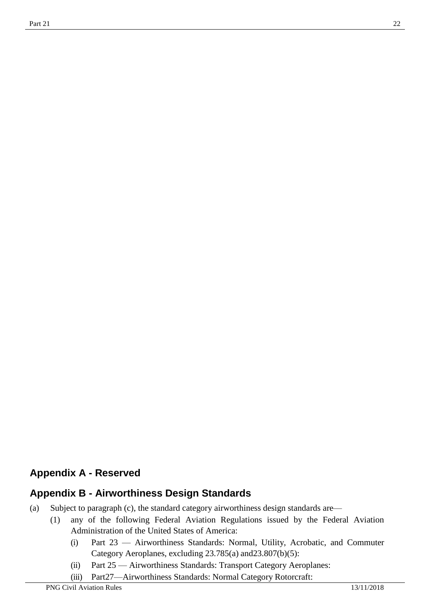# <span id="page-21-0"></span>**Appendix A - Reserved**

# **Appendix B - Airworthiness Design Standards**

- (a) Subject to paragraph (c), the standard category airworthiness design standards are—
	- (1) any of the following Federal Aviation Regulations issued by the Federal Aviation Administration of the United States of America:
		- (i) Part 23 Airworthiness Standards: Normal, Utility, Acrobatic, and Commuter Category Aeroplanes, excluding 23.785(a) and23.807(b)(5):
		- (ii) Part 25 Airworthiness Standards: Transport Category Aeroplanes:
		- (iii) Part27—Airworthiness Standards: Normal Category Rotorcraft: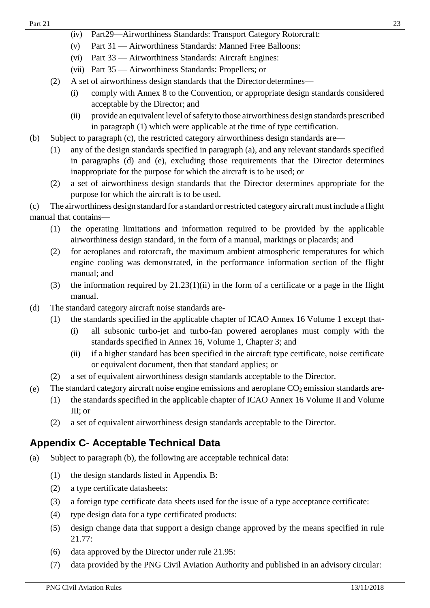- (iv) Part29—Airworthiness Standards: Transport Category Rotorcraft:
- (v) Part 31 Airworthiness Standards: Manned Free Balloons:
- (vi) Part 33 Airworthiness Standards: Aircraft Engines:
- (vii) Part 35 Airworthiness Standards: Propellers; or
- (2) A set of airworthiness design standards that the Director determines—
	- (i) comply with Annex 8 to the Convention, or appropriate design standards considered acceptable by the Director; and
	- (ii) provide an equivalent level of safety to those airworthiness design standards prescribed in paragraph (1) which were applicable at the time of type certification.
- (b) Subject to paragraph (c), the restricted category airworthiness design standards are—
	- (1) any of the design standards specified in paragraph (a), and any relevant standards specified in paragraphs (d) and (e), excluding those requirements that the Director determines inappropriate for the purpose for which the aircraft is to be used; or
	- (2) a set of airworthiness design standards that the Director determines appropriate for the purpose for which the aircraft is to be used.

(c) The airworthiness design standard for a standard or restricted category aircraft must include a flight manual that contains—

- (1) the operating limitations and information required to be provided by the applicable airworthiness design standard, in the form of a manual, markings or placards; and
- (2) for aeroplanes and rotorcraft, the maximum ambient atmospheric temperatures for which engine cooling was demonstrated, in the performance information section of the flight manual; and
- (3) the information required by  $21.23(1)(ii)$  in the form of a certificate or a page in the flight manual.
- (d) The standard category aircraft noise standards are-
	- (1) the standards specified in the applicable chapter of ICAO Annex 16 Volume 1 except that-
		- (i) all subsonic turbo-jet and turbo-fan powered aeroplanes must comply with the standards specified in Annex 16, Volume 1, Chapter 3; and
		- (ii) if a higher standard has been specified in the aircraft type certificate, noise certificate or equivalent document, then that standard applies; or
	- (2) a set of equivalent airworthiness design standards acceptable to the Director.
- (e) The standard category aircraft noise engine emissions and aeroplane  $CO<sub>2</sub>$  emission standards are-
	- (1) the standards specified in the applicable chapter of ICAO Annex 16 Volume II and Volume III; or
	- (2) a set of equivalent airworthiness design standards acceptable to the Director.

# <span id="page-22-0"></span>**Appendix C- Acceptable Technical Data**

- (a) Subject to paragraph (b), the following are acceptable technical data:
	- (1) the design standards listed in Appendix B:
	- (2) a type certificate datasheets:
	- (3) a foreign type certificate data sheets used for the issue of a type acceptance certificate:
	- (4) type design data for a type certificated products:
	- (5) design change data that support a design change approved by the means specified in rule 21.77:
	- (6) data approved by the Director under rule 21.95:
	- (7) data provided by the PNG Civil Aviation Authority and published in an advisory circular: